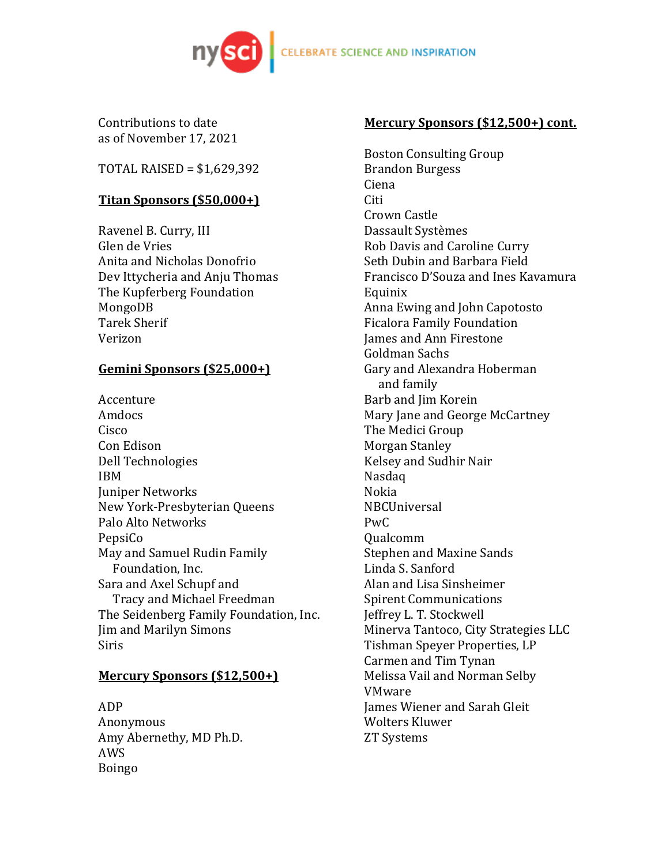

Contributions to date as of November 17, 2021

 $TOTAL RAISED = $1,629,392$ 

# **Titan Sponsors (\$50,000+)**

Ravenel B. Curry, III Glen de Vries Anita and Nicholas Donofrio Dev Ittycheria and Anju Thomas The Kupferberg Foundation MongoDB Tarek Sherif Verizon

# **Gemini Sponsors (\$25,000+)**

Accenture Amdocs Cisco Con Edison Dell Technologies IBM Juniper Networks New York-Presbyterian Oueens Palo Alto Networks PepsiCo May and Samuel Rudin Family Foundation, Inc. Sara and Axel Schupf and Tracy and Michael Freedman The Seidenberg Family Foundation, Inc. Jim and Marilyn Simons Siris

# **Mercury Sponsors (\$12,500+)**

ADP Anonymous Amy Abernethy, MD Ph.D. AWS Boingo

#### **Mercury Sponsors (\$12,500+) cont.**

**Boston Consulting Group** Brandon Burgess Ciena Citi Crown Castle Dassault Systèmes Rob Davis and Caroline Curry Seth Dubin and Barbara Field Francisco D'Souza and Ines Kavamura Equinix Anna Ewing and John Capotosto Ficalora Family Foundation James and Ann Firestone Goldman Sachs Gary and Alexandra Hoberman and family Barb and Jim Korein Mary Jane and George McCartney The Medici Group Morgan Stanley Kelsey and Sudhir Nair Nasdaq Nokia NBCUniversal  $PwC$ Qualcomm Stephen and Maxine Sands Linda S. Sanford Alan and Lisa Sinsheimer **Spirent Communications** Jeffrey L. T. Stockwell Minerva Tantoco, City Strategies LLC Tishman Speyer Properties, LP Carmen and Tim Tynan Melissa Vail and Norman Selby VMware James Wiener and Sarah Gleit Wolters Kluwer ZT Systems